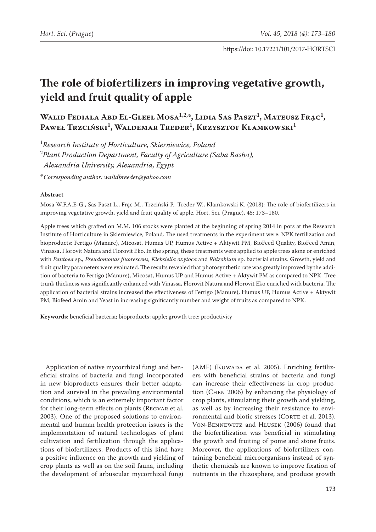# **The role of biofertilizers in improving vegetative growth, yield and fruit quality of apple**

**Walid Fediala Abd El-Gleel Mosa1,2,\*, Lidia Sas Paszt1 , Mateusz Frąc1 ,**  Paweł Trzciński<sup>1</sup>, Waldemar Treder<sup>1</sup>, Krzysztof Klamkowski<sup>1</sup>

1 *Research Institute of Horticulture, Skierniewice, Poland* 2 *Plant Production Department, Faculty of Agriculture (Saba Basha), Alexandria University, Alexandria, Egypt*

**\****Corresponding author: [walidbreeder@yahoo.com](mailto:walidbreeder@yahoo.com)*

#### **Abstract**

Mosa W.F.A.E-G., Sas Paszt L., Frąc M., Trzciński P., Treder W., Klamkowski K. (2018): The role of biofertilizers in improving vegetative growth, yield and fruit quality of apple. Hort. Sci. (Prague), 45: 173–180.

Apple trees which grafted on M.M. 106 stocks were planted at the beginning of spring 2014 in pots at the Research Institute of Horticulture in Skierniewice, Poland. The used treatments in the experiment were: NPK fertilization and bioproducts: Fertigo (Manure), Micosat, Humus UP, Humus Active + Aktywit PM, BioFeed Quality, BioFeed Amin, Vinassa, Florovit Natura and Florovit Eko. In the spring, these treatments were applied to apple trees alone or enriched with *Pantoea* sp.*, Pseudomonas fluorescens, Klebsiella oxytoca* and *Rhizobium* sp. bacterial strains. Growth, yield and fruit quality parameters were evaluated. The results revealed that photosynthetic rate was greatly improved by the addition of bacteria to Fertigo (Manure), Micosat, Humus UP and Humus Active + Aktywit PM as compared to NPK. Tree trunk thickness was significantly enhanced with Vinassa, Florovit Natura and Florovit Eko enriched with bacteria. The application of bacterial strains increased the effectiveness of Fertigo (Manure), Humus UP, Humus Active + Aktywit PM, Biofeed Amin and Yeast in increasing significantly number and weight of fruits as compared to NPK.

**Keywords**: beneficial bacteria; bioproducts; apple; growth tree; productivity

Application of native mycorrhizal fungi and beneficial strains of bacteria and fungi incorporated in new bioproducts ensures their better adaptation and survival in the prevailing environmental conditions, which is an extremely important factor for their long-term effects on plants (Regvar et al. 2003). One of the proposed solutions to environmental and human health protection issues is the implementation of natural technologies of plant cultivation and fertilization through the applications of biofertilizers. Products of this kind have a positive influence on the growth and yielding of crop plants as well as on the soil fauna, including the development of arbuscular mycorrhizal fungi

(AMF) (KUWADA et al. 2005). Enriching fertilizers with beneficial strains of bacteria and fungi can increase their effectiveness in crop production (Chen 2006) by enhancing the physiology of crop plants, stimulating their growth and yielding, as well as by increasing their resistance to environmental and biotic stresses (CORTE et al. 2013). Von-Bennewitz and Hlusek (2006) found that the biofertilization was beneficial in stimulating the growth and fruiting of pome and stone fruits. Moreover, the applications of biofertilizers containing beneficial microorganisms instead of synthetic chemicals are known to improve fixation of nutrients in the rhizosphere, and produce growth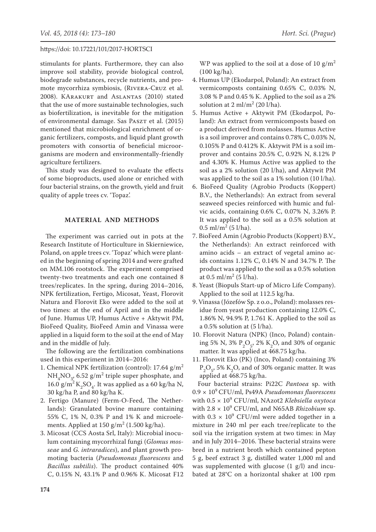stimulants for plants. Furthermore, they can also improve soil stability, provide biological control, biodegrade substances, recycle nutrients, and promote mycorrhiza symbiosis, (Rivera-Cruz et al. 2008). KArakurt and Aslantas (2010) stated that the use of more sustainable technologies, such as biofertilization, is inevitable for the mitigation of environmental damage. Sas PASZT et al. (2015) mentioned that microbiological enrichment of organic fertilizers, composts, and liquid plant growth promoters with consortia of beneficial microorganisms are modern and environmentally-friendly agriculture fertilizers.

This study was designed to evaluate the effects of some bioproducts, used alone or enriched with four bacterial strains, on the growth, yield and fruit quality of apple trees cv. 'Topaz'.

# **MATERIAL AND METHODS**

The experiment was carried out in pots at the Research Institute of Horticulture in Skierniewice, Poland, on apple trees cv. 'Topaz' which were planted in the beginning of spring 2014 and were grafted on MM.106 rootstock. The experiment comprised twenty-two treatments and each one contained 8 trees/replicates. In the spring, during 2014–2016, NPK fertilization, Fertigo, Micosat, Yeast, Florovit Natura and Florovit Eko were added to the soil at two times: at the end of April and in the middle of June. Humus UP, Humus Active + Aktywit PM, BioFeed Quality, BioFeed Amin and Vinassa were applied in a liquid form to the soil at the end of May and in the middle of July.

The following are the fertilization combinations used in this experiment in 2014–2016:

- 1. Chemical NPK fertilization (control): 17.64 g/m<sup>2</sup>  $NH_4NO_{3,0}$  6.52 g/m<sup>2</sup> triple super phosphate, and 16.0 g/m<sup>2</sup> K<sub>2</sub>SO<sub>4</sub>. It was applied as a 60 kg/ha N, 30 kg/ha P, and 80 kg/ha K.
- 2. Fertigo (Manure) (Ferm-O-Feed, The Netherlands): Granulated bovine manure containing 55% C, 1% N, 0.3% P and 1% K and microelements. Applied at  $150 \text{ g/m}^2$  (1.500 kg/ha).
- 3. Micosat (CCS Aosta Srl, Italy): Microbial inoculum containing mycorrhizal fungi (*Glomus mosseae* and *G. intraradices*), and plant growth promoting bacteria (*Pseudomonas fluorescens* and *Bacillus subtilis*). The product contained 40% C, 0.15% N, 43.1% P and 0.96% K. Micosat F12

WP was applied to the soil at a dose of 10 g/m<sup>2</sup> (100 kg/ha).

- 4. Humus UP (Ekodarpol, Poland): An extract from vermicomposts containing 0.65% C, 0.03% N, 3.08 % P and 0.45 % K. Applied to the soil as a 2% solution at  $2 \text{ ml/m}^2$  (20 l/ha).
- 5. Humus Active + Aktywit PM (Ekodarpol, Poland): An extract from vermicomposts based on a product derived from molasses. Humus Active is a soil improver and contains 0.78% C, 0.03% N, 0.105% P and 0.412% K. Aktywit PM is a soil improver and contains 20.5% C, 0.92% N, 8.12% P and 4.30% K. Humus Active was applied to the soil as a 2% solution (20 l/ha), and Aktywit PM was applied to the soil as a 1% solution (10 l/ha).
- 6. BioFeed Quality (Agrobio Products (Koppert) B.V., the Netherlands): An extract from several seaweed species reinforced with humic and fulvic acids, containing 0.6% C, 0.07% N, 3.26% P. It was applied to the soil as a 0.5% solution at  $0.5 \text{ ml/m}^2 \ (5 \text{ l/ha}).$
- 7. BioFeed Amin (Agrobio Products (Koppert) B.V., the Netherlands): An extract reinforced with amino acids – an extract of vegetal amino acids contains 1.12% C, 0.14% N and 34.7% P. The product was applied to the soil as a 0.5% solution at  $0.5 \text{ ml/m}^2 \ (5 \text{ l/ha}).$
- 8. Yeast (Biopuls Start-up of Micro Life Company). Applied to the soil at 112.5 kg/ha.
- 9. Vinassa (Józefów Sp. z o.o., Poland): molasses residue from yeast production containing 12.0% C, 1.86% N, 94.9% P, 1.761 K. Applied to the soil as a 0.5% solution at (5 l/ha).
- 10. Florovit Natura (NPK) (Inco, Poland) containing 5% N, 3%  $P_2O_5$ , 2% K<sub>2</sub>O, and 30% of organic matter. It was applied at 468.75 kg/ha.
- 11. Florovit Eko (PK) (Inco, Poland) containing 3%  $P_2O_5$ , 5% K<sub>2</sub>O, and of 30% organic matter. It was applied at 468.75 kg/ha.

Four bacterial strains: Pi22C *Pantoea* sp. with 0.9 × 109 CFU/ml, Ps49A *Pseudomonas fluorescens* with 0.5 × 10<sup>9</sup> CFU/ml, NAzot2 *Klebsiella oxytoca* with  $2.8 \times 10^9$  CFU/ml, and N65AB *Rhizobium* sp. with  $0.3 \times 10^9$  CFU/ml were added together in a mixture in 240 ml per each tree/replicate to the soil via the irrigation system at two times: in May and in July 2014–2016. These bacterial strains were bred in a nutrient broth which contained pepton 5 g, beef extract 3 g, distilled water 1,000 ml and was supplemented with glucose (1 g/l) and incubated at 28°C on a horizontal shaker at 100 rpm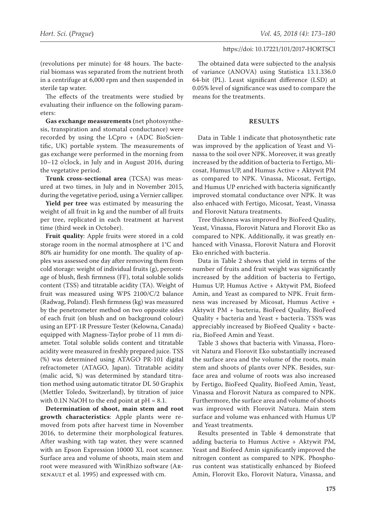(revolutions per minute) for 48 hours. The bacterial biomass was separated from the nutrient broth in a centrifuge at 6,000 rpm and then suspended in sterile tap water.

The effects of the treatments were studied by evaluating their influence on the following parameters:

**Gas exchange measurements (**net photosynthesis, transpiration and stomatal conductance) were recorded by using the LCpro + (ADC BioScientific, UK) portable system. The measurements of gas exchange were performed in the morning from 10–12 o'clock, in July and in August 2016, during the vegetative period.

**Trunk cross-sectional area** (TCSA) was measured at two times, in July and in November 2015, during the vegetative period, using a Vernier calliper.

**Yield per tree** was estimated by measuring the weight of all fruit in kg and the number of all fruits per tree, replicated in each treatment at harvest time (third week in October).

**Fruit quality**: Apple fruits were stored in a cold storage room in the normal atmosphere at 1°C and 80% air humidity for one month. The quality of apples was assessed one day after removing them from cold storage: weight of individual fruits (g), percentage of blush, flesh firmness (FF), total soluble solids content (TSS) and titratable acidity (TA). Weight of fruit was measured using WPS 2100/C/2 balance (Radwag, Poland). Flesh firmness (kg) was measured by the penetrometer method on two opposite sides of each fruit (on blush and on background colour) using an EPT-1R Pressure Tester (Kelowna, Canada) equipped with Magness-Taylor probe of 11 mm diameter. Total soluble solids content and titratable acidity were measured in freshly prepared juice. TSS (%) was determined using ATAGO PR-101 digital refractometer (ATAGO, Japan). Titratable acidity (malic acid, %) was determined by standard titration method using automatic titrator DL 50 Graphix (Mettler Toledo, Switzerland), by titration of juice with  $0.1N$  NaOH to the end point at  $pH = 8.1$ .

**Determination of shoot, main stem and root growth characteristics**: Apple plants were removed from pots after harvest time in November 2016, to determine their morphological features. After washing with tap water, they were scanned with an Epson Expression 10000 XL root scanner. Surface area and volume of shoots, main stem and root were measured with WinRhizo software (Arsenault et al. 1995) and expressed with cm.

The obtained data were subjected to the analysis of variance (ANOVA) using Statistica 13.1.336.0 64-bit (PL). Least significant difference (LSD) at 0.05% level of significance was used to compare the means for the treatments.

# **RESULTS**

Data in Table 1 indicate that photosynthetic rate was improved by the application of Yeast and Vinassa to the soil over NPK. Moreover, it was greatly increased by the addition of bacteria to Fertigo, Micosat, Humus UP, and Humus Active + Aktywit PM as compared to NPK. Vinassa, Micosat, Fertigo, and Humus UP enriched with bacteria significantly improved stomatal conductance over NPK. It was also enhaced with Fertigo, Micosat, Yeast, Vinassa and Florovit Natura treatments.

Tree thickness was improved by BioFeed Quality, Yeast, Vinassa, Florovit Natura and Florovit Eko as compared to NPK. Additionally, it was greatly enhanced with Vinassa, Florovit Natura and Florovit Eko enriched with bacteria.

Data in Table 2 shows that yield in terms of the number of fruits and fruit weight was significantly increased by the addition of bacteria to Fertigo, Humus UP, Humus Active + Aktywit PM, Biofeed Amin, and Yeast as compared to NPK. Fruit firmness was increased by Micosat, Humus Active + Aktywit PM + bacteria, BioFeed Quality, BioFeed Quality + bacteria and Yeast + bacteria. TSS% was appreciably increased by BioFeed Quality + bacteria, BioFeed Amin and Yeast.

Table 3 shows that bacteria with Vinassa, Florovit Natura and Florovit Eko substantially increased the surface area and the volume of the roots, main stem and shoots of plants over NPK. Besides, surface area and volume of roots was also increased by Fertigo, BioFeed Quality, BioFeed Amin, Yeast, Vinassa and Florovit Natura as compared to NPK. Furthermore, the surface area and volume of shoots was improved with Florovit Natura. Main stem surface and volume was enhanced with Humus UP and Yeast treatments.

Results presented in Table 4 demonstrate that adding bacteria to Humus Active + Aktywit PM, Yeast and Biofeed Amin significantly improved the nitrogen content as compared to NPK. Phosphorus content was statistically enhanced by Biofeed Amin, Florovit Eko, Florovit Natura, Vinassa, and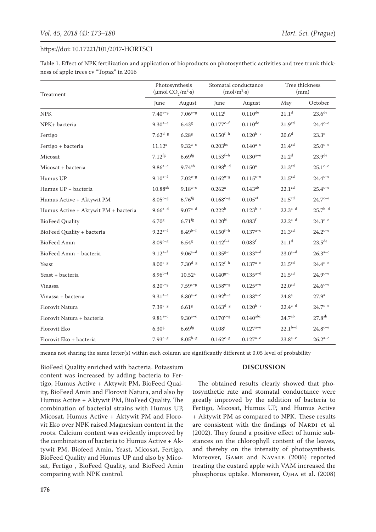Table 1. Effect of NPK fertilization and application of bioproducts on photosynthetic activities and tree trunk thickness of apple trees cv "Topaz" in 2016

| Treatment                            | Photosynthesis<br>(µmol $CO_2/m^2$ ·s) |                      | Stomatal conductance<br>(mol/m <sup>2</sup> ·s) |                        | Tree thickness<br>(mm) |                     |
|--------------------------------------|----------------------------------------|----------------------|-------------------------------------------------|------------------------|------------------------|---------------------|
|                                      | June                                   | August               | June                                            | August                 | May                    | October             |
| <b>NPK</b>                           | $7.40^{e-g}$                           | $7.06^{e-g}$         | $0.112^{i}$                                     | $0.110^{de}$           | 21.1 <sup>d</sup>      | 23.6 <sup>de</sup>  |
| NPK+ bacteria                        | $9.30^{a-e}$                           | 6.43 <sup>g</sup>    | $0.177^{c-f}$                                   | $0.110^{de}$           | 21.9 <sup>cd</sup>     | $24.4^{c-e}$        |
| Fertigo                              | $7.62^{d-g}$                           | 6.28 <sup>g</sup>    | $0.150^{f-h}$                                   | $0.120^{b-e}$          | 20.6 <sup>d</sup>      | $23.3^e$            |
| Fertigo + bacteria                   | $11.12^a$                              | $9.32^{a-c}$         | $0.203^{bc}$                                    | $0.140^{a-c}$          | 21.4 <sup>cd</sup>     | $25.0^{c-e}$        |
| Micosat                              | $7.12^{fg}$                            | $6.69$ <sup>fg</sup> | $0.153^{f-h}$                                   | $0.130^{a-e}$          | $21.2^{\rm d}$         | 23.9 <sup>de</sup>  |
| Micosat + bacteria                   | $9.86^{a-c}$                           | $9.74^{ab}$          | $0.198^{b-d}$                                   | 0.150 <sup>a</sup>     | 21.3 <sup>cd</sup>     | $25.1^{\text{c-e}}$ |
| Humus UP                             | $9.10^{a-f}$                           | $7.02^{e-g}$         | $0.162^{e-g}$                                   | $0.115^{c-e}$          | 21.5 <sup>cd</sup>     | $24.4^{\text{c-e}}$ |
| Humus UP + bacteria                  | $10.88^{ab}$                           | $9.18^{a-c}$         | $0.262^{\rm a}$                                 | $0.143^{ab}$           | 22.1 <sup>cd</sup>     | $25.4^{c-e}$        |
| Humus Active + Aktywit PM            | $8.05^{c-g}$                           | $6.76$ <sup>fg</sup> | $0.168^{c-g}$                                   | $0.105$ <sup>ef</sup>  | 21.5 <sup>cd</sup>     | $24.7^{c-e}$        |
| Humus Active + Aktywit PM + bacteria | $9.66^{a-d}$                           | $9.07^{a-d}$         | 0.222 <sup>b</sup>                              | $0.123^{b-e}$          | $22.3^{a-d}$           | $25.7^{b-d}$        |
| <b>BioFeed Quality</b>               | 6.70 <sup>g</sup>                      | $6.71$ <sup>fg</sup> | 0.120 <sup>hi</sup>                             | 0.083 <sup>f</sup>     | $22.2^{a-d}$           | $24.3^{c-e}$        |
| BioFeed Quality + bacteria           | $9.22^{a-f}$                           | $8.49^{b-f}$         | $0.150^{f-h}$                                   | $0.137^{a-c}$          | 21.3 <sup>cd</sup>     | $24.2^{c-e}$        |
| <b>BioFeed Amin</b>                  | $8.09^{c-g}$                           | $6.54$ <sup>g</sup>  | $0.142^{f-i}$                                   | 0.083 <sup>f</sup>     | 21.1 <sup>d</sup>      | $23.5^{\text{de}}$  |
| BioFeed Amin + bacteria              | $9.12^{a-f}$                           | $9.06^{a-d}$         | $0.135^{g-i}$                                   | $0.133^{a-d}$          | $23.0^{a-d}$           | $26.3^{a-c}$        |
| Yeast                                | $8.00^{c-g}$                           | $7.30^{d-g}$         | $0.152^{f-h}$                                   | $0.137^{a-c}$          | 21.5 <sup>cd</sup>     | $24.4^{c-e}$        |
| Yeast + bacteria                     | $8.96^{b-f}$                           | $10.52^{\rm a}$      | $0.140^{g-i}$                                   | $0.135^{a-d}$          | 21.5 <sup>cd</sup>     | $24.9^{c-e}$        |
| Vinassa                              | $8.20^{c-g}$                           | $7.59^{c-g}$         | $0.158^{e-g}$                                   | $0.125^{a-e}$          | 22.0 <sup>cd</sup>     | $24.6^{c-e}$        |
| Vinassa + bacteria                   | $9.31^{a-e}$                           | $8.80^{a-e}$         | $0.192^{b-e}$                                   | $0.138^{a-c}$          | $24.8^{\rm a}$         | $27.9^{\rm a}$      |
| Florovit Natura                      | $7.39^{e-g}$                           | 6.61 <sup>g</sup>    | $0.163^{d-g}$                                   | $0.120^{b-e}$          | $22.4^{a-d}$           | $24.7^{c-e}$        |
| Florovit Natura + bacteria           | $9.81^{a-c}$                           | $9.30^{a-c}$         | $0.170^{c-g}$                                   | $0.140$ <sup>abc</sup> | 24.7 <sup>ab</sup>     | 27.8 <sup>ab</sup>  |
| Florovit Eko                         | 6.30 <sup>g</sup>                      | $6.69$ <sup>fg</sup> | $0.108^{i}$                                     | $0.127^{a-e}$          | $22.1^{b-d}$           | $24.8^{c-e}$        |
| Florovit Eko + bacteria              | $7.93^{c-g}$                           | $8.05^{b-g}$         | $0.162^{e-g}$                                   | $0.127^{a-e}$          | $23.8^{a-c}$           | $26.2^{a-c}$        |

means not sharing the same letter(s) within each column are significantly different at 0.05 level of probability

BioFeed Quality enriched with bacteria. Potassium content was increased by adding bacteria to Fertigo, Humus Active + Aktywit PM, BioFeed Quality, BioFeed Amin and Florovit Natura, and also by Humus Active + Aktywit PM, BioFeed Quality. The combination of bacterial strains with Humus UP, Micosat, Humus Active + Aktywit PM and Florovit Eko over NPK raised Magnesium content in the roots. Calcium content was evidently improved by the combination of bacteria to Humus Active + Aktywit PM, Biofeed Amin, Yeast, Micosat, Fertigo, BioFeed Quality and Humus UP and also by Micosat, Fertigo , BioFeed Quality, and BioFeed Amin comparing with NPK control.

# **DISCUSSION**

The obtained results clearly showed that photosynthetic rate and stomatal conductance were greatly improved by the addition of bacteria to Fertigo, Micosat, Humus UP, and Humus Active + Aktywit PM as compared to NPK. These results are consistent with the findings of NARDI et al. (2002). They found a positive effect of humic substances on the chlorophyll content of the leaves, and thereby on the intensity of photosynthesis. Moreover, Game and Navale (2006) reported treating the custard apple with VAM increased the phosphorus uptake. Moreover, Ojha et al. (2008)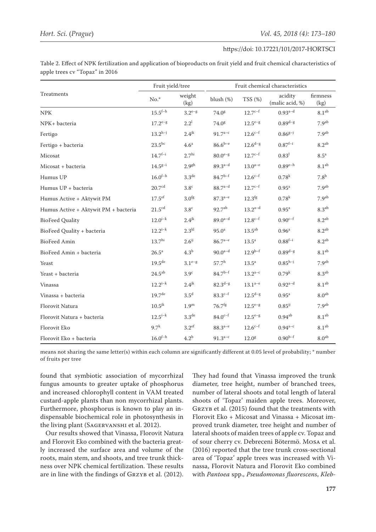Table 2. Effect of NPK fertilization and application of bioproducts on fruit yield and fruit chemical characteristics of apple trees cv "Topaz" in 2016

| Treatments                           | Fruit yield/tree    |                     | Fruit chemical characteristics |                     |                            |                    |
|--------------------------------------|---------------------|---------------------|--------------------------------|---------------------|----------------------------|--------------------|
|                                      | $No.*$              | weight<br>(kg)      | blush (%)                      | TSS(%)              | acidity<br>(malic acid, %) | firmness<br>(kg)   |
| <b>NPK</b>                           | $15.5^{f-h}$        | $3.2^{e-g}$         | 74.0 <sup>g</sup>              | $12.7^{c-f}$        | $0.93^{a-d}$               | 8.1 <sup>ab</sup>  |
| NPK+ bacteria                        | $17.2^{e-g}$        | $2.2^{1}$           | 74.0 <sup>g</sup>              | $12.5^{e-g}$        | $0.89^{d-g}$               | 7.9 <sup>ab</sup>  |
| Fertigo                              | $13.2^{h-j}$        | 2.4 <sup>jk</sup>   | $91.7^{a-c}$                   | $12.6^{c-f}$        | $0.86^{g-j}$               | 7.9 <sup>ab</sup>  |
| Fertigo + bacteria                   | $23.5^{\rm bc}$     | 4.6 <sup>a</sup>    | $86.6^{b-e}$                   | $12.6^{d-g}$        | $0.87^{f-i}$               | $8.2^{ab}$         |
| Micosat                              | $14.7^{f-i}$        | 2.7 <sup>hi</sup>   | $80.0^{e-g}$                   | $12.7^{c-f}$        | $0.83^{J}$                 | $8.5^{\mathrm{a}}$ |
| Micosat + bacteria                   | $14.5^{g-i}$        | 2.9 <sup>gh</sup>   | $89.3^{a-d}$                   | $13.0^{a-e}$        | $0.89^{e-h}$               | 8.1 <sup>ab</sup>  |
| Humus UP                             | $16.0^{f-h}$        | 3.3 <sup>de</sup>   | $84.7^{b-f}$                   | $12.6^{c-f}$        | 0.78 <sup>k</sup>          | 7.8 <sup>b</sup>   |
| Humus UP + bacteria                  | 20.7 <sup>cd</sup>  | 3.8 <sup>c</sup>    | $88.7^{a-d}$                   | $12.7^{c-f}$        | 0.95 <sup>a</sup>          | 7.9 <sup>ab</sup>  |
| Humus Active + Aktywit PM            | $17.5$ ef           | 3.0 <sup>fg</sup>   | $87.3^{a-e}$                   | 12.3 <sup>fg</sup>  | 0.78 <sup>k</sup>          | 7.9 <sup>ab</sup>  |
| Humus Active + Aktywit PM + bacteria | 21.5 <sup>cd</sup>  | 3.8 <sup>c</sup>    | $92.7^{ab}$                    | $13.2^{a-d}$        | 0.95 <sup>a</sup>          | 8.3 <sup>ab</sup>  |
| <b>BioFeed Quality</b>               | $12.0^{i-k}$        | $2.4$ <sup>jk</sup> | $89.0^{a-d}$                   | $12.8^{\text{c-f}}$ | $0.90^{c-f}$               | $8.2^{ab}$         |
| BioFeed Quality + bacteria           | $12.2^{i-k}$        | 2.3 <sup>kl</sup>   | $95.0^{\rm a}$                 | $13.5^{ab}$         | 0.96 <sup>a</sup>          | 8.2 <sup>ab</sup>  |
| <b>BioFeed Amin</b>                  | 13.7 <sup>hi</sup>  | $2.6^{ij}$          | $86.7^{a-e}$                   | $13.5^a$            | $0.88^{f-i}$               | $8.2^{ab}$         |
| BioFeed Amin + bacteria              | $26.5^{\mathrm{a}}$ | 4.3 <sup>b</sup>    | $90.0^{a-d}$                   | $12.9^{b-f}$        | $0.89^{d-g}$               | 8.1 <sup>ab</sup>  |
| Yeast                                | 19.5 <sup>de</sup>  | $3.1^{e-g}$         | $57.7^{\rm h}$                 | $13.5^a$            | $0.85^{h-j}$               | 7.9 <sup>ab</sup>  |
| Yeast + bacteria                     | $24.5^{ab}$         | 3.9 <sup>c</sup>    | $84.7^{b-f}$                   | $13.2^{a-c}$        | 0.79 <sup>k</sup>          | 8.3 <sup>ab</sup>  |
| Vinassa                              | $12.2^{i-k}$        | $2.4$ <sup>jk</sup> | $82.3^{d-g}$                   | $13.1^{a-e}$        | $0.92^{a-d}$               | 8.1 <sup>ab</sup>  |
| Vinassa + bacteria                   | 19.7 <sup>de</sup>  | 3.5 <sup>d</sup>    | $83.3^{c-f}$                   | $12.5^{d-g}$        | $0.95^{\rm a}$             | 8.0 <sup>ab</sup>  |
| Florovit Natura                      | $10.5^{jk}$         | 1.9 <sup>m</sup>    | $76.7$ <sup>fg</sup>           | $12.5^{e-g}$        | $0.85^{i}$                 | 7.9 <sup>ab</sup>  |
| Florovit Natura + bacteria           | $12.5^{i-k}$        | 3.3 <sup>de</sup>   | $84.0^{c-f}$                   | $12.5^{e-g}$        | $0.94^{ab}$                | 8.1 <sup>ab</sup>  |
| Florovit Eko                         | $9.7^k$             | 3.2 <sup>ef</sup>   | $88.3^{a-e}$                   | $12.6^{c-f}$        | $0.94^{a-c}$               | 8.1 <sup>ab</sup>  |
| Florovit Eko + bacteria              | $16.0^{\rm f-h}$    | 4.2 <sup>b</sup>    | $91.3^{a-c}$                   | 12.0 <sup>g</sup>   | $0.90^{b-f}$               | 8.0 <sup>ab</sup>  |

means not sharing the same letter(s) within each column are significantly different at 0.05 level of probability; \* number of fruits per tree

found that symbiotic association of mycorrhizal fungus amounts to greater uptake of phosphorus and increased chlorophyll content in VAM treated custard-apple plants than non mycorrhizal plants. Furthermore, phosphorus is known to play an indispensable biochemical role in photosynthesis in the living plant (Sagervanshi et al. 2012).

Our results showed that Vinassa, Florovit Natura and Florovit Eko combined with the bacteria greatly increased the surface area and volume of the roots, main stem, and shoots, and tree trunk thickness over NPK chemical fertilization. These results are in line with the findings of GRZYB et al. (2012).

They had found that Vinassa improved the trunk diameter, tree height, number of branched trees, number of lateral shoots and total length of lateral shoots of 'Topaz' maiden apple trees. Moreover, Grzyb et al. (2015) found that the treatments with Florovit Eko + Micosat and Vinassa + Micosat improved trunk diameter, tree height and number of lateral shoots of maiden trees of apple cv. Topaz and of sour cherry cv. Debreceni Bötermö. Mosa et al. (2016) reported that the tree trunk cross-sectional area of 'Topaz' apple trees was increased with Vinassa, Florovit Natura and Florovit Eko combined with *Pantoea* spp., *Pseudomonas fluorescens*, *Kleb-*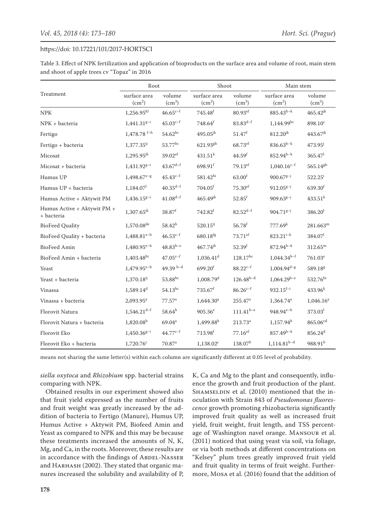Table 3. Effect of NPK fertilization and application of bioproducts on the surface area and volume of root, main stem and shoot of apple trees cv "Topaz" in 2016

|                                           | Root                         |                        | Shoot                        |                        | Main stem                          |                        |
|-------------------------------------------|------------------------------|------------------------|------------------------------|------------------------|------------------------------------|------------------------|
| Treatment                                 | surface area<br>$\rm (cm^2)$ | volume<br>$\rm (cm^3)$ | surface area<br>$\rm (cm^2)$ | volume<br>$\rm (cm^3)$ | surface area<br>(cm <sup>2</sup> ) | volume<br>$\rm (cm^3)$ |
| <b>NPK</b>                                | $1,256.95^{kl}$              | $46.65^{c-f}$          | $745.48^{f}$                 | 80.93ef                | $885.43^{h-k}$                     | $465.42^{jk}$          |
| NPK + bacteria                            | $1,441.31g-i$                | $45.03^{c-f}$          | $748.64$ <sup>f</sup>        | $83.83^{d-f}$          | $1,144.99^{bc}$                    | 898.10 <sup>c</sup>    |
| Fertigo                                   | $1,478.78$ <sup>f-h</sup>    | $54.62^{bc}$           | $495.05^{jk}$                | $51.47^{f}$            | $812.20^{jk}$                      | $443.67^{jk}$          |
| Fertigo + bacteria                        | $1,377.35^{ij}$              | 53.77bc                | $621.93^{gh}$                | $68.73$ <sup>ef</sup>  | $836.63^{h-k}$                     | $473.95^{\circ}$       |
| Micosat                                   | $1,295.95^{jk}$              | $39.02$ <sup>ef</sup>  | $431.51^{k}$                 | 44.59 <sup>f</sup>     | $852.94^{h-k}$                     | $365.47$ <sup>1</sup>  |
| Micosat + bacteria                        | $1,431.92^{g-i}$             | $43.67^{d-f}$          | 698.91f                      | $79.13$ <sup>ef</sup>  | $1,040.16^{c-f}$                   | $565.14^{gh}$          |
| Humus UP                                  | $1,498.67^{e-g}$             | $45.43^{c-f}$          | 581.42 <sup>hi</sup>         | 63.00 <sup>f</sup>     | $900.67^{g-j}$                     | $522.25^i$             |
| Humus UP + bacteria                       | 1,184.07                     | $40.35^{d-f}$          | $704.05$ <sup>f</sup>        | $75.30$ <sup>ef</sup>  | $912.05^{g-j}$                     | 639.30f                |
| Humus Active + Aktywit PM                 | $1,436.15^{g-i}$             | $41.08^{d-f}$          | $465.49^{jk}$                | $52.85$ <sup>f</sup>   | $909.63^{g-j}$                     | $433.51^k$             |
| Humus Active + Aktywit PM +<br>+ bacteria | $1,307.65^{jk}$              | 38.87 <sup>f</sup>     | $742.82^f$                   | $82.52^{d-f}$          | $904.71^{g-j}$                     | 386.20 <sup>1</sup>    |
| <b>BioFeed Quality</b>                    | $1,570.08^{\text{de}}$       | $58.42^{b}$            | $520.15^{ij}$                | $56.78^{f}$            | 777.69 <sup>k</sup>                | $281.663^m$            |
| BioFeed Quality + bacteria                | $1,488.81^{e-h}$             | $46.53^{c-f}$          | 680.18 <sup>fg</sup>         | $73.71$ ef             | $823.21^{i-k}$                     | 384.07 <sup>1</sup>    |
| <b>BioFeed Amin</b>                       | $1,480.95^{e-h}$             | $48.83^{b-e}$          | $467.74^{jk}$                | $52.39^{f}$            | $872.94^{h-k}$                     | $312.65^{\rm m}$       |
| BioFeed Amin + bacteria                   | $1,403.48$ <sup>hi</sup>     | $47.05^{c-f}$          | $1,036.41$ <sup>d</sup>      | $128.17^{bc}$          | $1,044.34^{b-f}$                   | $761.03^e$             |
| Yeast                                     | $1,479.95^{e-h}$             | 49.39 $b-d$            | $699.20$ <sup>f</sup>        | $88.22^{c-f}$          | $1,004.94^{d-g}$                   | 589.18 <sup>g</sup>    |
| Yeast + bacteria                          | 1,370.18 <sup>ij</sup>       | 53.88 <sup>bc</sup>    | $1,008.79$ <sup>d</sup>      | $126.48^{b-d}$         | $1,064.29^{b-e}$                   | 532.76 <sup>hi</sup>   |
| Vinassa                                   | 1,589.14 <sup>d</sup>        | $54.13^{bc}$           | $735.67^f$                   | $86.26^{c-f}$          | $932.15^{f-i}$                     | $433.96^{k}$           |
| Vinassa + bacteria                        | 2,093.95 <sup>a</sup>        | 77.57 <sup>a</sup>     | 1,644.30 <sup>a</sup>        | $255.47$ <sup>a</sup>  | $1,364.74$ <sup>a</sup>            | $1,046.16^a$           |
| Florovit Natura                           | $1,546.21$ <sup>d-f</sup>    | $58.64^{b}$            | $905.36^e$                   | $111.41^{b-e}$         | $948.94^{e-h}$                     | 373.03 <sup>1</sup>    |
| Florovit Natura + bacteria                | 1,820.08 <sup>b</sup>        | 69.04 <sup>a</sup>     | 1,499.88 <sup>b</sup>        | $213.73^a$             | $1.157.94^b$                       | $865.06^{cd}$          |
| Florovit Eko                              | $1,450.36^{g-i}$             | $44.77^{c-1}$          | 713.98 <sup>f</sup>          | $77.16$ <sup>ef</sup>  | $857.49^{h-k}$                     | $856.24^{d}$           |
| Florovit Eko + bacteria                   | $1,720.76$ <sup>c</sup>      | 70.87 <sup>a</sup>     | $1,138.02^c$                 | 138.07 <sup>b</sup>    | $1,114.81^{b-d}$                   | $988.91^{b}$           |

means not sharing the same letter(s) within each column are significantly different at 0.05 level of probability.

*siella oxytoca* and *Rhizobium* spp. bacterial strains comparing with NPK.

Obtained results in our experiment showed also that fruit yield expressed as the number of fruits and fruit weight was greatly increased by the addition of bacteria to Fertigo (Manure), Humus UP, Humus Active + Aktywit PM, Biofeed Amin and Yeast as compared to NPK and this may be because these treatments increased the amounts of N, K, Mg, and Ca, in the roots. Moreover, these results are in accordance with the findings of ABDEL-NASSER and HARHASH (2002). They stated that organic manures increased the solubility and availability of P, K, Ca and Mg to the plant and consequently, influence the growth and fruit production of the plant. SHAMSELDIN et al. (2010) mentioned that the inoculation with Strain 843 of *Pseudomonas fluorescence* growth promoting rhizobacteria significantly improved fruit quality as well as increased fruit yield, fruit weight, fruit length, and TSS percentage of Washington navel orange. Mansour et al. (2011) noticed that using yeast via soil, via foliage, or via both methods at different concentrations on "Kelsey" plum trees greatly improved fruit yield and fruit quality in terms of fruit weight. Furthermore, Mosa et al. (2016) found that the addition of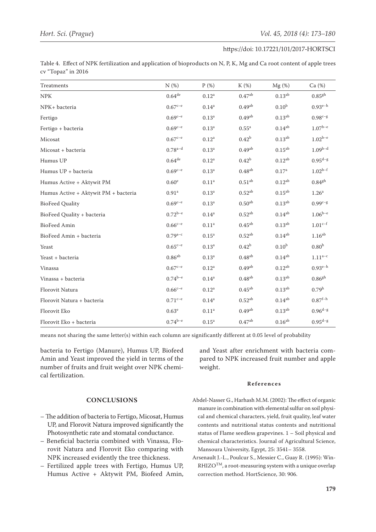Table 4. Effect of NPK fertilization and application of bioproducts on N, P, K, Mg and Ca root content of apple trees cv "Topaz" in 2016

| Treatments                           | N(%)                 | $P(\%)$           | K (%)              | $Mg$ (%)          | Ca (%)               |
|--------------------------------------|----------------------|-------------------|--------------------|-------------------|----------------------|
| <b>NPK</b>                           | $0.64$ <sup>de</sup> | $0.12^{\rm a}$    | 0.47 <sup>ab</sup> | $0.13^{ab}$       | 0.85 <sup>gh</sup>   |
| NPK+ bacteria                        | $0.67^{c-e}$         | $0.14^{a}$        | 0.49 <sup>ab</sup> | 0.10 <sup>b</sup> | $0.93^{e-h}$         |
| Fertigo                              | $0.69^{c-e}$         | 0.13 <sup>a</sup> | 0.49 <sup>ab</sup> | $0.13^{ab}$       | $0.98^{c-g}$         |
| Fertigo + bacteria                   | $0.69^{c-e}$         | 0.13 <sup>a</sup> | $0.55^{\rm a}$     | $0.14^{ab}$       | $1.07^{\rm b-e}$     |
| Micosat                              | $0.67^{c-e}$         | 0.12 <sup>a</sup> | 0.42 <sup>b</sup>  | $0.13^{ab}$       | $1.02^{b-e}$         |
| Micosat + bacteria                   | $0.78^{a-d}$         | 0.13 <sup>a</sup> | 0.49 <sup>ab</sup> | $0.15^{ab}$       | $1.09^{b-d}$         |
| Humus UP                             | $0.64$ <sup>de</sup> | $0.12^{\rm a}$    | 0.42 <sup>b</sup>  | $0.12^{ab}$       | $0.95^{d-g}$         |
| Humus UP + bacteria                  | $0.69^{c-e}$         | 0.13 <sup>a</sup> | $0.48^{ab}$        | 0.17 <sup>a</sup> | $1.02^{b-f}$         |
| Humus Active + Aktywit PM            | 0.60 <sup>e</sup>    | 0.11 <sup>a</sup> | 0.51 <sup>ab</sup> | $0.12^{ab}$       | $0.84$ <sup>gh</sup> |
| Humus Active + Aktywit PM + bacteria | 0.91 <sup>a</sup>    | 0.13 <sup>a</sup> | $0.52^{ab}$        | $0.15^{ab}$       | 1.26 <sup>a</sup>    |
| <b>BioFeed Quality</b>               | $0.69^{c-e}$         | 0.13 <sup>a</sup> | 0.50 <sup>ab</sup> | $0.13^{ab}$       | $0.99^{c-g}$         |
| BioFeed Quality + bacteria           | $0.72^{b-e}$         | $0.14^{a}$        | $0.52^{ab}$        | $0.14^{ab}$       | $1.06^{b-e}$         |
| BioFeed Amin                         | $0.66^{c-e}$         | $0.11\mathrm{^a}$ | $0.45^{ab}$        | $0.13^{ab}$       | $1.01^{c-f}$         |
| BioFeed Amin + bacteria              | $0.79^{a-c}$         | $0.15^a$          | $0.52^{ab}$        | $0.14^{ab}$       | 1.16 <sup>ab</sup>   |
| Yeast                                | $0.65^{c-e}$         | 0.13 <sup>a</sup> | 0.42 <sup>b</sup>  | 0.10 <sup>b</sup> | 0.80 <sup>h</sup>    |
| Yeast + bacteria                     | $0.86^{ab}$          | 0.13 <sup>a</sup> | $0.48^{ab}$        | $0.14^{ab}$       | $1.11^{a-c}$         |
| Vinassa                              | $0.67^{c-e}$         | $0.12^{\rm a}$    | 0.49 <sup>ab</sup> | $0.12^{ab}$       | $0.93^{e-h}$         |
| Vinassa + bacteria                   | $0.74^{b-e}$         | $0.14^{\rm a}$    | $0.48^{ab}$        | $0.13^{ab}$       | $0.86$ gh            |
| Florovit Natura                      | $0.66^{c-e}$         | $0.12^{\rm a}$    | $0.45^{ab}$        | $0.13^{ab}$       | 0.79 <sup>h</sup>    |
| Florovit Natura + bacteria           | $0.71^{c-e}$         | $0.14^{a}$        | $0.52^{ab}$        | $0.14^{ab}$       | $0.87^{\rm f-h}$     |
| Florovit Eko                         | 0.63 <sup>e</sup>    | $0.11^{a}$        | 0.49 <sup>ab</sup> | $0.13^{ab}$       | $0.96^{d-g}$         |
| Florovit Eko + bacteria              | $0.74^{b-e}$         | $0.15^a$          | 0.47 <sup>ab</sup> | $0.16^{ab}$       | $0.95^{d-g}$         |

means not sharing the same letter(s) within each column are significantly different at 0.05 level of probability

bacteria to Fertigo (Manure), Humus UP, Biofeed Amin and Yeast improved the yield in terms of the number of fruits and fruit weight over NPK chemical fertilization.

and Yeast after enrichment with bacteria compared to NPK increased fruit number and apple weight.

# **References**

- Abdel-Nasser G., Harhash M.M. (2002): The effect of organic manure in combination with elemental sulfur on soil physical and chemical characters, yield, fruit quality, leaf water contents and nutritional status contents and nutritional status of Flame seedless grapevines. 1 – Soil physical and chemical characteristics. [Journal of Agricultural Science,](https://www.google.pl/url?sa=t&rct=j&q=&esrc=s&source=web&cd=1&ved=0ahUKEwjP2pPW_Z7UAhXBJJoKHevKC-gQFggtMAA&url=http%3A%2F%2Fagrfac.mans.edu.eg%2Fen%2Fprojects-research%2Fscientific-journal&usg=AFQjCNFpgqZOOuygl2X6AOUlhWDqztBfPQ) [Mansoura University, Egypt](https://www.google.pl/url?sa=t&rct=j&q=&esrc=s&source=web&cd=1&ved=0ahUKEwjP2pPW_Z7UAhXBJJoKHevKC-gQFggtMAA&url=http%3A%2F%2Fagrfac.mans.edu.eg%2Fen%2Fprojects-research%2Fscientific-journal&usg=AFQjCNFpgqZOOuygl2X6AOUlhWDqztBfPQ), 25: 3541– 3558.
- Arsenault J.-L., Poulcur S., Messier C., Guay R. (1995): Win- $\mathbb{R}\text{HIZO}^{\text{TM}}$ , a root-measuring system with a unique overlap correction method. [HortScience](http://hortsci.ashspublications.org/), 30: 906.

# **CONCLUSIONS**

- The addition of bacteria to Fertigo, Micosat, Humus UP, and Florovit Natura improved significantly the Photosynthetic rate and stomatal conductance.
- Beneficial bacteria combined with Vinassa, Florovit Natura and Florovit Eko comparing with NPK increased evidently the tree thickness.
- Fertilized apple trees with Fertigo, Humus UP, Humus Active + Aktywit PM, Biofeed Amin,